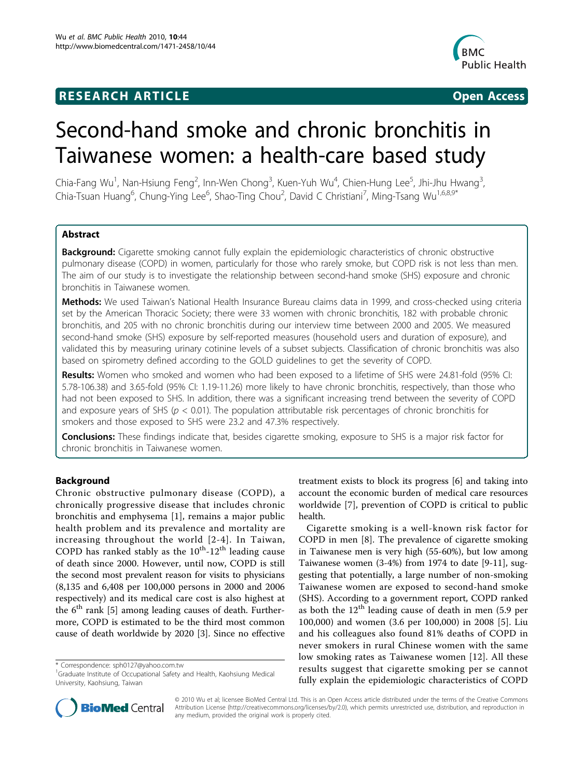## **RESEARCH ARTICLE Example 2018 12:30 THE Open Access**



# Second-hand smoke and chronic bronchitis in Taiwanese women: a health-care based study

Chia-Fang Wu<sup>1</sup>, Nan-Hsiung Feng<sup>2</sup>, Inn-Wen Chong<sup>3</sup>, Kuen-Yuh Wu<sup>4</sup>, Chien-Hung Lee<sup>5</sup>, Jhi-Jhu Hwang<sup>3</sup> , Chia-Tsuan Huang<sup>6</sup>, Chung-Ying Lee<sup>6</sup>, Shao-Ting Chou<sup>2</sup>, David C Christiani<sup>7</sup>, Ming-Tsang Wu<sup>1,6,8,9\*</sup>

## Abstract

Background: Cigarette smoking cannot fully explain the epidemiologic characteristics of chronic obstructive pulmonary disease (COPD) in women, particularly for those who rarely smoke, but COPD risk is not less than men. The aim of our study is to investigate the relationship between second-hand smoke (SHS) exposure and chronic bronchitis in Taiwanese women.

Methods: We used Taiwan's National Health Insurance Bureau claims data in 1999, and cross-checked using criteria set by the American Thoracic Society; there were 33 women with chronic bronchitis, 182 with probable chronic bronchitis, and 205 with no chronic bronchitis during our interview time between 2000 and 2005. We measured second-hand smoke (SHS) exposure by self-reported measures (household users and duration of exposure), and validated this by measuring urinary cotinine levels of a subset subjects. Classification of chronic bronchitis was also based on spirometry defined according to the GOLD guidelines to get the severity of COPD.

Results: Women who smoked and women who had been exposed to a lifetime of SHS were 24.81-fold (95% CI: 5.78-106.38) and 3.65-fold (95% CI: 1.19-11.26) more likely to have chronic bronchitis, respectively, than those who had not been exposed to SHS. In addition, there was a significant increasing trend between the severity of COPD and exposure years of SHS ( $p < 0.01$ ). The population attributable risk percentages of chronic bronchitis for smokers and those exposed to SHS were 23.2 and 47.3% respectively.

**Conclusions:** These findings indicate that, besides cigarette smoking, exposure to SHS is a major risk factor for chronic bronchitis in Taiwanese women.

## Background

Chronic obstructive pulmonary disease (COPD), a chronically progressive disease that includes chronic bronchitis and emphysema [[1\]](#page-8-0), remains a major public health problem and its prevalence and mortality are increasing throughout the world [[2-4](#page-8-0)]. In Taiwan, COPD has ranked stably as the  $10^{th}$ - $12^{th}$  leading cause of death since 2000. However, until now, COPD is still the second most prevalent reason for visits to physicians (8,135 and 6,408 per 100,000 persons in 2000 and 2006 respectively) and its medical care cost is also highest at the  $6<sup>th</sup>$  rank [\[5](#page-8-0)] among leading causes of death. Furthermore, COPD is estimated to be the third most common cause of death worldwide by 2020 [\[3](#page-8-0)]. Since no effective

treatment exists to block its progress [\[6](#page-8-0)] and taking into account the economic burden of medical care resources worldwide [[7\]](#page-8-0), prevention of COPD is critical to public health.

Cigarette smoking is a well-known risk factor for COPD in men [[8\]](#page-8-0). The prevalence of cigarette smoking in Taiwanese men is very high (55-60%), but low among Taiwanese women (3-4%) from 1974 to date [\[9](#page-8-0)-[11\]](#page-8-0), suggesting that potentially, a large number of non-smoking Taiwanese women are exposed to second-hand smoke (SHS). According to a government report, COPD ranked as both the  $12<sup>th</sup>$  leading cause of death in men (5.9 per 100,000) and women (3.6 per 100,000) in 2008 [[5\]](#page-8-0). Liu and his colleagues also found 81% deaths of COPD in never smokers in rural Chinese women with the same low smoking rates as Taiwanese women [[12](#page-8-0)]. All these results suggest that cigarette smoking per se cannot fully explain the epidemiologic characteristics of COPD



© 2010 Wu et al; licensee BioMed Central Ltd. This is an Open Access article distributed under the terms of the Creative Commons Attribution License [\(http://creativecommons.org/licenses/by/2.0](http://creativecommons.org/licenses/by/2.0)), which permits unrestricted use, distribution, and reproduction in any medium, provided the original work is properly cited.

<sup>\*</sup> Correspondence: [sph0127@yahoo.com.tw](mailto:sph0127@yahoo.com.tw)

<sup>&</sup>lt;sup>1</sup>Graduate Institute of Occupational Safety and Health, Kaohsiung Medical University, Kaohsiung, Taiwan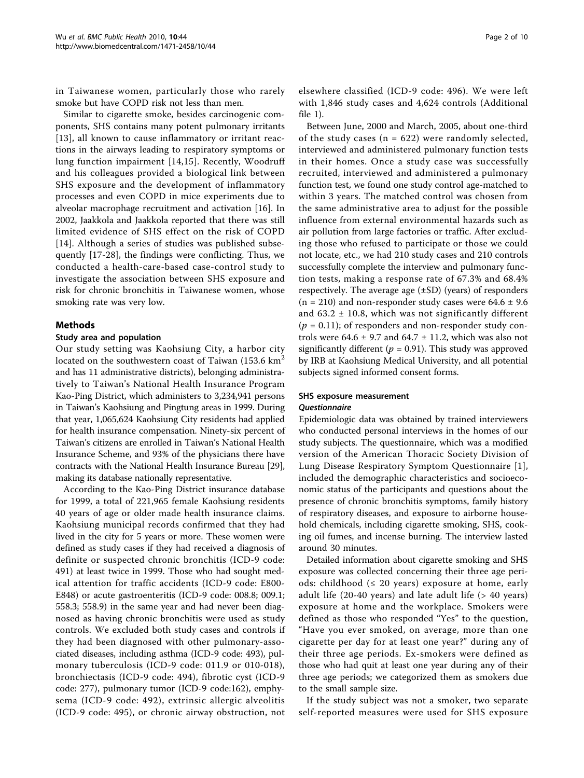in Taiwanese women, particularly those who rarely smoke but have COPD risk not less than men.

Similar to cigarette smoke, besides carcinogenic components, SHS contains many potent pulmonary irritants [[13](#page-8-0)], all known to cause inflammatory or irritant reactions in the airways leading to respiratory symptoms or lung function impairment [[14,15\]](#page-8-0). Recently, Woodruff and his colleagues provided a biological link between SHS exposure and the development of inflammatory processes and even COPD in mice experiments due to alveolar macrophage recruitment and activation [\[16](#page-8-0)]. In 2002, Jaakkola and Jaakkola reported that there was still limited evidence of SHS effect on the risk of COPD [[14](#page-8-0)]. Although a series of studies was published subsequently [\[17](#page-8-0)-[28\]](#page-8-0), the findings were conflicting. Thus, we conducted a health-care-based case-control study to investigate the association between SHS exposure and risk for chronic bronchitis in Taiwanese women, whose smoking rate was very low.

#### Methods

#### Study area and population

Our study setting was Kaohsiung City, a harbor city located on the southwestern coast of Taiwan  $(153.6 \text{ km}^2)$ and has 11 administrative districts), belonging administratively to Taiwan's National Health Insurance Program Kao-Ping District, which administers to 3,234,941 persons in Taiwan's Kaohsiung and Pingtung areas in 1999. During that year, 1,065,624 Kaohsiung City residents had applied for health insurance compensation. Ninety-six percent of Taiwan's citizens are enrolled in Taiwan's National Health Insurance Scheme, and 93% of the physicians there have contracts with the National Health Insurance Bureau [[29](#page-8-0)], making its database nationally representative.

According to the Kao-Ping District insurance database for 1999, a total of 221,965 female Kaohsiung residents 40 years of age or older made health insurance claims. Kaohsiung municipal records confirmed that they had lived in the city for 5 years or more. These women were defined as study cases if they had received a diagnosis of definite or suspected chronic bronchitis (ICD-9 code: 491) at least twice in 1999. Those who had sought medical attention for traffic accidents (ICD-9 code: E800- E848) or acute gastroenteritis (ICD-9 code: 008.8; 009.1; 558.3; 558.9) in the same year and had never been diagnosed as having chronic bronchitis were used as study controls. We excluded both study cases and controls if they had been diagnosed with other pulmonary-associated diseases, including asthma (ICD-9 code: 493), pulmonary tuberculosis (ICD-9 code: 011.9 or 010-018), bronchiectasis (ICD-9 code: 494), fibrotic cyst (ICD-9 code: 277), pulmonary tumor (ICD-9 code:162), emphysema (ICD-9 code: 492), extrinsic allergic alveolitis (ICD-9 code: 495), or chronic airway obstruction, not

elsewhere classified (ICD-9 code: 496). We were left with 1,846 study cases and 4,624 controls (Additional file [1](#page-7-0)).

Between June, 2000 and March, 2005, about one-third of the study cases ( $n = 622$ ) were randomly selected, interviewed and administered pulmonary function tests in their homes. Once a study case was successfully recruited, interviewed and administered a pulmonary function test, we found one study control age-matched to within 3 years. The matched control was chosen from the same administrative area to adjust for the possible influence from external environmental hazards such as air pollution from large factories or traffic. After excluding those who refused to participate or those we could not locate, etc., we had 210 study cases and 210 controls successfully complete the interview and pulmonary function tests, making a response rate of 67.3% and 68.4% respectively. The average age (±SD) (years) of responders  $(n = 210)$  and non-responder study cases were 64.6  $\pm$  9.6 and  $63.2 \pm 10.8$ , which was not significantly different  $(p = 0.11)$ ; of responders and non-responder study controls were  $64.6 \pm 9.7$  and  $64.7 \pm 11.2$ , which was also not significantly different ( $p = 0.91$ ). This study was approved by IRB at Kaohsiung Medical University, and all potential subjects signed informed consent forms.

#### SHS exposure measurement Questionnaire

Epidemiologic data was obtained by trained interviewers who conducted personal interviews in the homes of our study subjects. The questionnaire, which was a modified version of the American Thoracic Society Division of Lung Disease Respiratory Symptom Questionnaire [[1](#page-8-0)], included the demographic characteristics and socioeconomic status of the participants and questions about the presence of chronic bronchitis symptoms, family history of respiratory diseases, and exposure to airborne household chemicals, including cigarette smoking, SHS, cooking oil fumes, and incense burning. The interview lasted around 30 minutes.

Detailed information about cigarette smoking and SHS exposure was collected concerning their three age periods: childhood  $(≤ 20 years)$  exposure at home, early adult life (20-40 years) and late adult life (> 40 years) exposure at home and the workplace. Smokers were defined as those who responded "Yes" to the question, "Have you ever smoked, on average, more than one cigarette per day for at least one year?" during any of their three age periods. Ex-smokers were defined as those who had quit at least one year during any of their three age periods; we categorized them as smokers due to the small sample size.

If the study subject was not a smoker, two separate self-reported measures were used for SHS exposure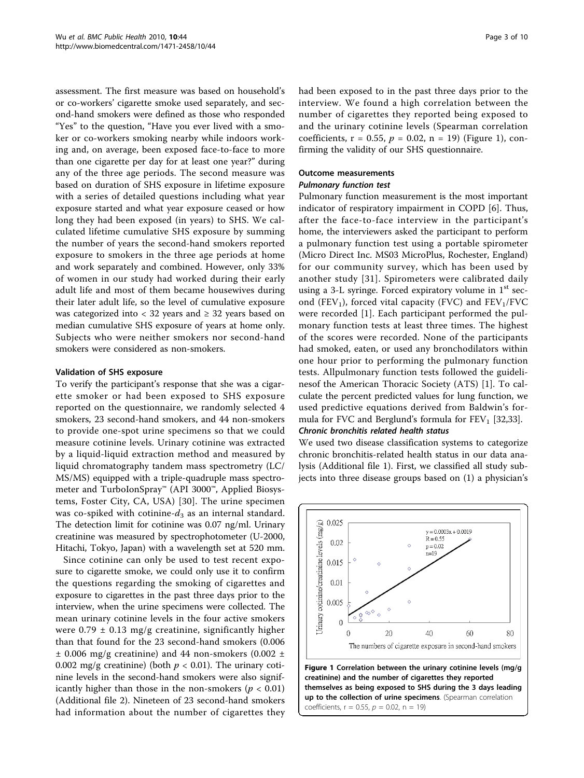assessment. The first measure was based on household's or co-workers' cigarette smoke used separately, and second-hand smokers were defined as those who responded "Yes" to the question, "Have you ever lived with a smoker or co-workers smoking nearby while indoors working and, on average, been exposed face-to-face to more than one cigarette per day for at least one year?" during any of the three age periods. The second measure was based on duration of SHS exposure in lifetime exposure with a series of detailed questions including what year exposure started and what year exposure ceased or how long they had been exposed (in years) to SHS. We calculated lifetime cumulative SHS exposure by summing the number of years the second-hand smokers reported exposure to smokers in the three age periods at home and work separately and combined. However, only 33% of women in our study had worked during their early adult life and most of them became housewives during their later adult life, so the level of cumulative exposure was categorized into  $<$  32 years and  $\geq$  32 years based on median cumulative SHS exposure of years at home only. Subjects who were neither smokers nor second-hand smokers were considered as non-smokers.

#### Validation of SHS exposure

To verify the participant's response that she was a cigarette smoker or had been exposed to SHS exposure reported on the questionnaire, we randomly selected 4 smokers, 23 second-hand smokers, and 44 non-smokers to provide one-spot urine specimens so that we could measure cotinine levels. Urinary cotinine was extracted by a liquid-liquid extraction method and measured by liquid chromatography tandem mass spectrometry (LC/ MS/MS) equipped with a triple-quadruple mass spectrometer and TurboIonSpray™ (API 3000™, Applied Biosystems, Foster City, CA, USA) [[30\]](#page-8-0). The urine specimen was co-spiked with cotinine- $d_3$  as an internal standard. The detection limit for cotinine was 0.07 ng/ml. Urinary creatinine was measured by spectrophotometer (U-2000, Hitachi, Tokyo, Japan) with a wavelength set at 520 mm.

Since cotinine can only be used to test recent exposure to cigarette smoke, we could only use it to confirm the questions regarding the smoking of cigarettes and exposure to cigarettes in the past three days prior to the interview, when the urine specimens were collected. The mean urinary cotinine levels in the four active smokers were  $0.79 \pm 0.13$  mg/g creatinine, significantly higher than that found for the 23 second-hand smokers (0.006  $\pm$  0.006 mg/g creatinine) and 44 non-smokers (0.002  $\pm$ 0.002 mg/g creatinine) (both  $p < 0.01$ ). The urinary cotinine levels in the second-hand smokers were also significantly higher than those in the non-smokers ( $p < 0.01$ ) (Additional file [2](#page-7-0)). Nineteen of 23 second-hand smokers had information about the number of cigarettes they had been exposed to in the past three days prior to the interview. We found a high correlation between the number of cigarettes they reported being exposed to and the urinary cotinine levels (Spearman correlation coefficients,  $r = 0.55$ ,  $p = 0.02$ ,  $n = 19$ ) (Figure 1), confirming the validity of our SHS questionnaire.

## Outcome measurements

## Pulmonary function test

Pulmonary function measurement is the most important indicator of respiratory impairment in COPD [[6](#page-8-0)]. Thus, after the face-to-face interview in the participant's home, the interviewers asked the participant to perform a pulmonary function test using a portable spirometer (Micro Direct Inc. MS03 MicroPlus, Rochester, England) for our community survey, which has been used by another study [[31\]](#page-8-0). Spirometers were calibrated daily using a 3-L syringe. Forced expiratory volume in  $1<sup>st</sup>$  second (FEV<sub>1</sub>), forced vital capacity (FVC) and  $FEV<sub>1</sub>/FVC$ were recorded [[1\]](#page-8-0). Each participant performed the pulmonary function tests at least three times. The highest of the scores were recorded. None of the participants had smoked, eaten, or used any bronchodilators within one hour prior to performing the pulmonary function tests. Allpulmonary function tests followed the guidelinesof the American Thoracic Society (ATS) [[1\]](#page-8-0). To calculate the percent predicted values for lung function, we used predictive equations derived from Baldwin's formula for FVC and Berglund's formula for  $FEV<sub>1</sub>$  [\[32,33\]](#page-8-0).

#### Chronic bronchitis related health status

We used two disease classification systems to categorize chronic bronchitis-related health status in our data analysis (Additional file [1\)](#page-7-0). First, we classified all study subjects into three disease groups based on (1) a physician's

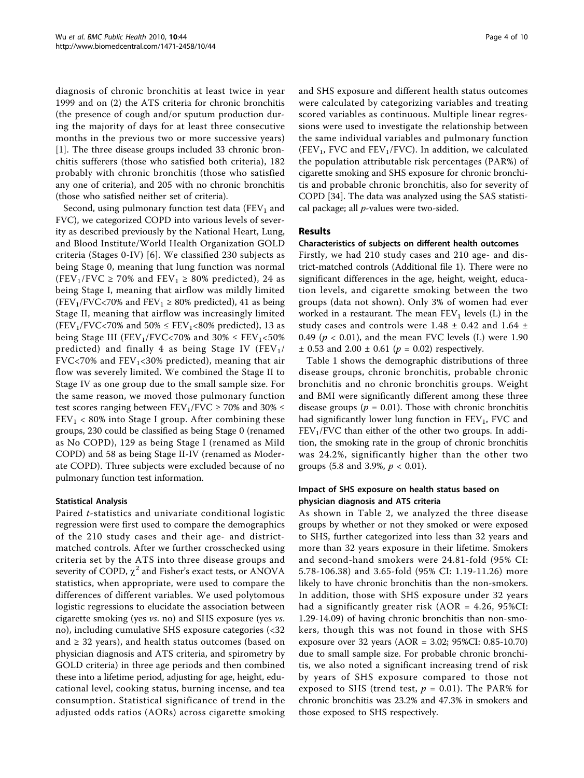diagnosis of chronic bronchitis at least twice in year 1999 and on (2) the ATS criteria for chronic bronchitis (the presence of cough and/or sputum production during the majority of days for at least three consecutive months in the previous two or more successive years) [[1\]](#page-8-0). The three disease groups included 33 chronic bronchitis sufferers (those who satisfied both criteria), 182 probably with chronic bronchitis (those who satisfied any one of criteria), and 205 with no chronic bronchitis (those who satisfied neither set of criteria).

Second, using pulmonary function test data (FEV<sub>1</sub> and FVC), we categorized COPD into various levels of severity as described previously by the National Heart, Lung, and Blood Institute/World Health Organization GOLD criteria (Stages 0-IV) [[6](#page-8-0)]. We classified 230 subjects as being Stage 0, meaning that lung function was normal (FEV<sub>1</sub>/FVC  $\geq$  70% and FEV<sub>1</sub>  $\geq$  80% predicted), 24 as being Stage I, meaning that airflow was mildly limited (FEV<sub>1</sub>/FVC<70% and FEV<sub>1</sub>  $\geq$  80% predicted), 41 as being Stage II, meaning that airflow was increasingly limited (FEV<sub>1</sub>/FVC<70% and 50%  $\leq$  FEV<sub>1</sub><80% predicted), 13 as being Stage III (FEV<sub>1</sub>/FVC<70% and  $30\% \leq FEV_1$ <50% predicted) and finally 4 as being Stage IV ( $FEV<sub>1</sub>/$ FVC<70% and  $FEV_1$ <30% predicted), meaning that air flow was severely limited. We combined the Stage II to Stage IV as one group due to the small sample size. For the same reason, we moved those pulmonary function test scores ranging between  $FEV_1/FVC \ge 70\%$  and 30%  $\le$  $FEV<sub>1</sub> < 80%$  into Stage I group. After combining these groups, 230 could be classified as being Stage 0 (renamed as No COPD), 129 as being Stage I (renamed as Mild COPD) and 58 as being Stage II-IV (renamed as Moderate COPD). Three subjects were excluded because of no pulmonary function test information.

## Statistical Analysis

Paired t-statistics and univariate conditional logistic regression were first used to compare the demographics of the 210 study cases and their age- and districtmatched controls. After we further crosschecked using criteria set by the ATS into three disease groups and severity of COPD,  $\chi^2$  and Fisher's exact tests, or ANOVA statistics, when appropriate, were used to compare the differences of different variables. We used polytomous logistic regressions to elucidate the association between cigarette smoking (yes vs. no) and SHS exposure (yes vs. no), including cumulative SHS exposure categories (<32 and  $\geq$  32 years), and health status outcomes (based on physician diagnosis and ATS criteria, and spirometry by GOLD criteria) in three age periods and then combined these into a lifetime period, adjusting for age, height, educational level, cooking status, burning incense, and tea consumption. Statistical significance of trend in the adjusted odds ratios (AORs) across cigarette smoking and SHS exposure and different health status outcomes were calculated by categorizing variables and treating scored variables as continuous. Multiple linear regressions were used to investigate the relationship between the same individual variables and pulmonary function (FEV<sub>1</sub>, FVC and FEV<sub>1</sub>/FVC). In addition, we calculated the population attributable risk percentages (PAR%) of cigarette smoking and SHS exposure for chronic bronchitis and probable chronic bronchitis, also for severity of COPD [\[34](#page-9-0)]. The data was analyzed using the SAS statistical package; all  $p$ -values were two-sided.

## Results

#### Characteristics of subjects on different health outcomes

Firstly, we had 210 study cases and 210 age- and district-matched controls (Additional file [1\)](#page-7-0). There were no significant differences in the age, height, weight, education levels, and cigarette smoking between the two groups (data not shown). Only 3% of women had ever worked in a restaurant. The mean  $FEV<sub>1</sub>$  levels (L) in the study cases and controls were 1.48  $\pm$  0.42 and 1.64  $\pm$ 0.49 ( $p < 0.01$ ), and the mean FVC levels (L) were 1.90  $\pm$  0.53 and 2.00  $\pm$  0.61 ( $p = 0.02$ ) respectively.

Table [1](#page-4-0) shows the demographic distributions of three disease groups, chronic bronchitis, probable chronic bronchitis and no chronic bronchitis groups. Weight and BMI were significantly different among these three disease groups ( $p = 0.01$ ). Those with chronic bronchitis had significantly lower lung function in  $FEV<sub>1</sub>$ , FVC and  $FEV<sub>1</sub>/FVC$  than either of the other two groups. In addition, the smoking rate in the group of chronic bronchitis was 24.2%, significantly higher than the other two groups (5.8 and 3.9%,  $p < 0.01$ ).

#### Impact of SHS exposure on health status based on physician diagnosis and ATS criteria

As shown in Table [2,](#page-5-0) we analyzed the three disease groups by whether or not they smoked or were exposed to SHS, further categorized into less than 32 years and more than 32 years exposure in their lifetime. Smokers and second-hand smokers were 24.81-fold (95% CI: 5.78-106.38) and 3.65-fold (95% CI: 1.19-11.26) more likely to have chronic bronchitis than the non-smokers. In addition, those with SHS exposure under 32 years had a significantly greater risk (AOR = 4.26, 95%CI: 1.29-14.09) of having chronic bronchitis than non-smokers, though this was not found in those with SHS exposure over 32 years (AOR = 3.02; 95%CI: 0.85-10.70) due to small sample size. For probable chronic bronchitis, we also noted a significant increasing trend of risk by years of SHS exposure compared to those not exposed to SHS (trend test,  $p = 0.01$ ). The PAR% for chronic bronchitis was 23.2% and 47.3% in smokers and those exposed to SHS respectively.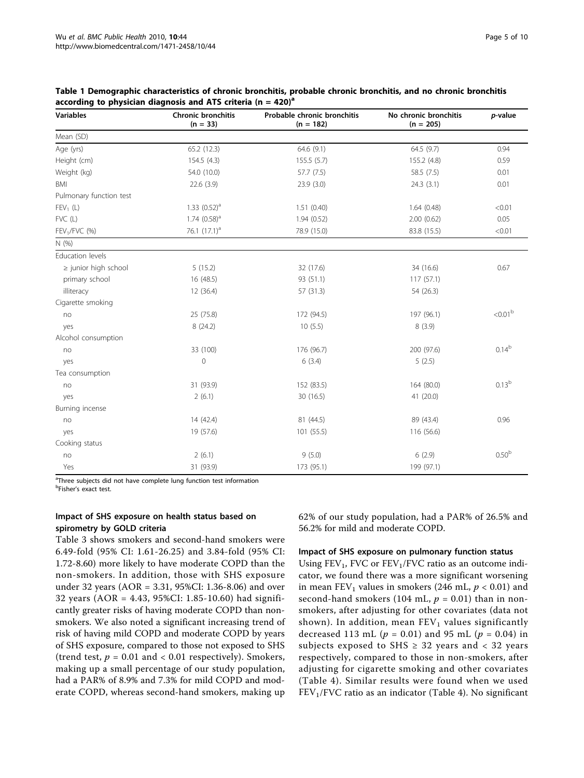| <b>Variables</b>         | Chronic bronchitis<br>Probable chronic bronchitis<br>$(n = 33)$<br>$(n = 182)$ |             | No chronic bronchitis<br>$(n = 205)$ | p-value           |  |
|--------------------------|--------------------------------------------------------------------------------|-------------|--------------------------------------|-------------------|--|
| Mean (SD)                |                                                                                |             |                                      |                   |  |
| Age (yrs)                | 65.2 (12.3)                                                                    | 64.6 (9.1)  | 64.5 (9.7)                           | 0.94              |  |
| Height (cm)              | 154.5 (4.3)                                                                    | 155.5(5.7)  | 155.2 (4.8)                          | 0.59              |  |
| Weight (kg)              | 54.0 (10.0)                                                                    | 57.7 (7.5)  | 58.5 (7.5)                           | 0.01              |  |
| <b>BMI</b>               | 22.6 (3.9)                                                                     | 23.9(3.0)   | 24.3(3.1)                            | 0.01              |  |
| Pulmonary function test  |                                                                                |             |                                      |                   |  |
| $FEV_1(L)$               | 1.33 $(0.52)^a$                                                                | 1.51(0.40)  | 1.64(0.48)                           | < 0.01            |  |
| FVC (L)                  | 1.74 $(0.58)^a$                                                                | 1.94(0.52)  | 2.00(0.62)                           | 0.05              |  |
| $FEV1/FVC$ (%)           | 76.1 $(17.1)^a$                                                                | 78.9 (15.0) | 83.8 (15.5)                          | < 0.01            |  |
| N(% )                    |                                                                                |             |                                      |                   |  |
| Education levels         |                                                                                |             |                                      |                   |  |
| $\ge$ junior high school | 5(15.2)                                                                        | 32 (17.6)   | 34 (16.6)                            | 0.67              |  |
| primary school           | 16 (48.5)                                                                      | 93 (51.1)   | 117(57.1)                            |                   |  |
| illiteracy               | 12 (36.4)                                                                      | 57 (31.3)   | 54 (26.3)                            |                   |  |
| Cigarette smoking        |                                                                                |             |                                      |                   |  |
| no                       | 25 (75.8)                                                                      | 172 (94.5)  | 197 (96.1)                           | $<0.01b$          |  |
| yes                      | 8(24.2)                                                                        | 10(5.5)     | 8(3.9)                               |                   |  |
| Alcohol consumption      |                                                                                |             |                                      |                   |  |
| no                       | 33 (100)                                                                       | 176 (96.7)  | 200 (97.6)                           | $0.14^{b}$        |  |
| yes                      | $\mathbf{0}$                                                                   | 6(3.4)      | 5(2.5)                               |                   |  |
| Tea consumption          |                                                                                |             |                                      |                   |  |
| no                       | 31 (93.9)                                                                      | 152 (83.5)  | 164 (80.0)                           | 0.13 <sup>b</sup> |  |
| yes                      | 2(6.1)                                                                         | 30 (16.5)   | 41 (20.0)                            |                   |  |
| Burning incense          |                                                                                |             |                                      |                   |  |
| no                       | 14(42.4)                                                                       | 81 (44.5)   | 89 (43.4)                            | 0.96              |  |
| yes                      | 19 (57.6)                                                                      | 101(55.5)   | 116 (56.6)                           |                   |  |
| Cooking status           |                                                                                |             |                                      |                   |  |
| no                       | 2(6.1)                                                                         | 9(5.0)      | 6(2.9)                               | 0.50 <sup>b</sup> |  |
| Yes                      | 31 (93.9)                                                                      | 173 (95.1)  | 199 (97.1)                           |                   |  |

<span id="page-4-0"></span>Table 1 Demographic characteristics of chronic bronchitis, probable chronic bronchitis, and no chronic bronchitis according to physician diagnosis and ATS criteria (n = 420)<sup>a</sup>

<sup>a</sup>Three subjects did not have complete lung function test information

<sup>b</sup>Fisher's exact test.

## Impact of SHS exposure on health status based on spirometry by GOLD criteria

Table [3](#page-5-0) shows smokers and second-hand smokers were 6.49-fold (95% CI: 1.61-26.25) and 3.84-fold (95% CI: 1.72-8.60) more likely to have moderate COPD than the non-smokers. In addition, those with SHS exposure under 32 years (AOR = 3.31, 95%CI: 1.36-8.06) and over 32 years (AOR = 4.43, 95%CI: 1.85-10.60) had significantly greater risks of having moderate COPD than nonsmokers. We also noted a significant increasing trend of risk of having mild COPD and moderate COPD by years of SHS exposure, compared to those not exposed to SHS (trend test,  $p = 0.01$  and  $< 0.01$  respectively). Smokers, making up a small percentage of our study population, had a PAR% of 8.9% and 7.3% for mild COPD and moderate COPD, whereas second-hand smokers, making up 62% of our study population, had a PAR% of 26.5% and 56.2% for mild and moderate COPD.

#### Impact of SHS exposure on pulmonary function status

Using  $FEV_1$ , FVC or  $FEV_1/FVC$  ratio as an outcome indicator, we found there was a more significant worsening in mean  $FEV_1$  values in smokers (246 mL,  $p < 0.01$ ) and second-hand smokers (104 mL,  $p = 0.01$ ) than in nonsmokers, after adjusting for other covariates (data not shown). In addition, mean  $FEV<sub>1</sub>$  values significantly decreased 113 mL ( $p = 0.01$ ) and 95 mL ( $p = 0.04$ ) in subjects exposed to SHS  $\geq$  32 years and < 32 years respectively, compared to those in non-smokers, after adjusting for cigarette smoking and other covariates (Table [4](#page-6-0)). Similar results were found when we used  $FEV<sub>1</sub>/FVC$  ratio as an indicator (Table [4](#page-6-0)). No significant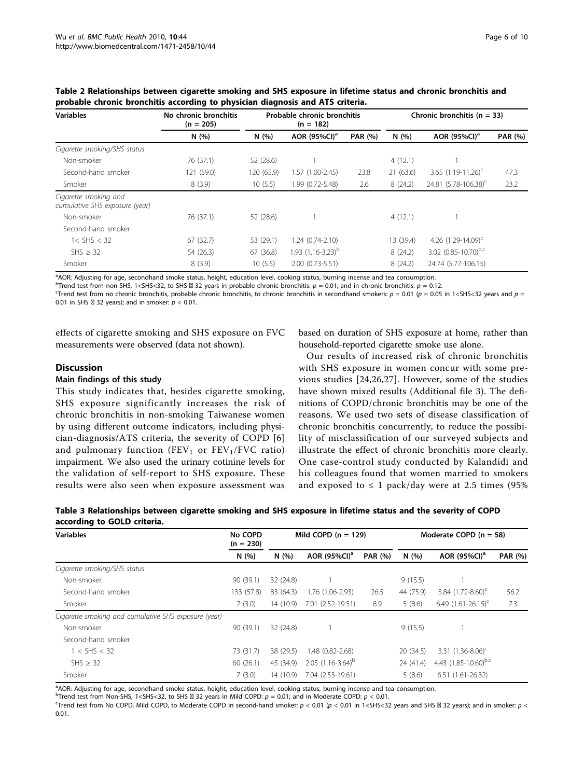| <b>Variables</b>                                        | No chronic bronchitis<br>$(n = 205)$ |            | Probable chronic bronchitis<br>$(n = 182)$ |                | Chronic bronchitis ( $n = 33$ ) |                                  |                |  |
|---------------------------------------------------------|--------------------------------------|------------|--------------------------------------------|----------------|---------------------------------|----------------------------------|----------------|--|
|                                                         | N(%)                                 | N(%)       | AOR (95%CI) <sup>a</sup>                   | <b>PAR (%)</b> | N(%)                            | AOR (95%CI) <sup>a</sup>         | <b>PAR (%)</b> |  |
| Cigarette smoking/SHS status                            |                                      |            |                                            |                |                                 |                                  |                |  |
| Non-smoker                                              | 76 (37.1)                            | 52 (28.6)  |                                            |                | 4(12.1)                         |                                  |                |  |
| Second-hand smoker                                      | 121 (59.0)                           | 120 (65.9) | 1.57 (1.00-2.45)                           | 23.8           | 21(63.6)                        | 3.65 $(1.19-11.26)^{c}$          | 47.3           |  |
| Smoker                                                  | 8(3.9)                               | 10(5.5)    | 1.99 (0.72-5.48)                           | 2.6            | 8(24.2)                         | 24.81 (5.78-106.38) <sup>c</sup> | 23.2           |  |
| Cigarette smoking and<br>cumulative SHS exposure (year) |                                      |            |                                            |                |                                 |                                  |                |  |
| Non-smoker                                              | 76 (37.1)                            | 52 (28.6)  |                                            |                | 4(12.1)                         |                                  |                |  |
| Second-hand smoker                                      |                                      |            |                                            |                |                                 |                                  |                |  |
| $1 <$ SHS $<$ 32                                        | 67(32.7)                             | 53 (29.1)  | $1.24(0.74-2.10)$                          |                | 13 (39.4)                       | 4.26 $(1.29 - 14.09)^c$          |                |  |
| SHS > 32                                                | 54 (26.3)                            | 67 (36.8)  | $1.93(1.16 - 3.23)^{b}$                    |                | 8(24.2)                         | 3.02 $(0.85 - 10.70)^{b,c}$      |                |  |
| Smoker                                                  | 8(3.9)                               | 10(5.5)    | 2.00 (0.73-5.51)                           |                | 8(24.2)                         | 24.74 (5.77-106.15)              |                |  |

<span id="page-5-0"></span>Table 2 Relationships between cigarette smoking and SHS exposure in lifetime status and chronic bronchitis and probable chronic bronchitis according to physician diagnosis and ATS criteria.

<sup>a</sup>AOR: Adjusting for age, secondhand smoke status, height, education level, cooking status, burning incense and tea consumption.

b Trend test from non-SHS, 1<SHS<32, to SHS  $\boxtimes$  32 years in probable chronic bronchitis:  $p = 0.01$ ; and in chronic bronchitis:  $p = 0.12$ .<br>Trend test from no chronic bronchitis, probable chronic bronchitis, to chronic br

Trend test from no chronic bronchitis, probable chronic bronchitis, to chronic bronchitis in secondhand smokers:  $p = 0.01$  ( $p = 0.05$  in 1<SHS<32 years and  $p =$ 0.01 in SHS  $\boxtimes$  32 years); and in smoker:  $p < 0.01$ .

effects of cigarette smoking and SHS exposure on FVC measurements were observed (data not shown).

## based on duration of SHS exposure at home, rather than household-reported cigarette smoke use alone.

#### **Discussion**

#### Main findings of this study

This study indicates that, besides cigarette smoking, SHS exposure significantly increases the risk of chronic bronchitis in non-smoking Taiwanese women by using different outcome indicators, including physician-diagnosis/ATS criteria, the severity of COPD [[6](#page-8-0)] and pulmonary function (FEV<sub>1</sub> or  $FEV<sub>1</sub>/FVC$  ratio) impairment. We also used the urinary cotinine levels for the validation of self-report to SHS exposure. These results were also seen when exposure assessment was

Our results of increased risk of chronic bronchitis with SHS exposure in women concur with some previous studies [[24,26](#page-8-0),[27\]](#page-8-0). However, some of the studies have shown mixed results (Additional file [3](#page-7-0)). The definitions of COPD/chronic bronchitis may be one of the reasons. We used two sets of disease classification of chronic bronchitis concurrently, to reduce the possibility of misclassification of our surveyed subjects and illustrate the effect of chronic bronchitis more clearly. One case-control study conducted by Kalandidi and his colleagues found that women married to smokers and exposed to  $\leq 1$  pack/day were at 2.5 times (95%)

Table 3 Relationships between cigarette smoking and SHS exposure in lifetime status and the severity of COPD according to GOLD criteria.

| <b>Variables</b>                                     | No COPD<br>$(n = 230)$ | Mild COPD $(n = 129)$ |                          |                | Moderate COPD $(n = 58)$ |                                   |                |
|------------------------------------------------------|------------------------|-----------------------|--------------------------|----------------|--------------------------|-----------------------------------|----------------|
|                                                      | N(%)                   | N(96)                 | AOR (95%CI) <sup>a</sup> | <b>PAR (%)</b> | N(%)                     | AOR (95%CI) <sup>a</sup>          | <b>PAR (%)</b> |
| Cigarette smoking/SHS status                         |                        |                       |                          |                |                          |                                   |                |
| Non-smoker                                           | 90 (39.1)              | 32 (24.8)             |                          |                | 9(15.5)                  |                                   |                |
| Second-hand smoker                                   | 133 (57.8)             | 83 (64.3)             | 1.76 (1.06-2.93)         | 26.5           | 44 (75.9)                | 3.84 $(1.72 - 8.60)$ <sup>c</sup> | 56.2           |
| Smoker                                               | 7(3.0)                 | 14 (10.9)             | 7.01 (2.52-19.51)        | 8.9            | 5(8.6)                   | 6.49 $(1.61 - 26.15)^c$           | 7.3            |
| Cigarette smoking and cumulative SHS exposure (year) |                        |                       |                          |                |                          |                                   |                |
| Non-smoker                                           | 90(39.1)               | 32 (24.8)             |                          |                | 9(15.5)                  |                                   |                |
| Second-hand smoker                                   |                        |                       |                          |                |                          |                                   |                |
| $1 <$ SHS $<$ 32                                     | 73 (31.7)              | 38 (29.5)             | 1.48 (0.82-2.68)         |                | 20(34.5)                 | 3.31 $(1.36 - 8.06)^c$            |                |
| SHS > 32                                             | 60(26.1)               | 45 (34.9)             | 2.05 $(1.16 - 3.64)^b$   |                | 24 (41.4)                | 4.43 $(1.85 - 10.60)^{b,c}$       |                |
| Smoker                                               | 7(3.0)                 | 14 (10.9)             | 7.04 (2.53-19.61)        |                | 5(8.6)                   | $6.51(1.61 - 26.32)$              |                |

a AOR: Adjusting for age, secondhand smoke status, height, education level, cooking status, burning incense and tea consumption.

b Trend test from Non-SHS, 1<SHS<32, to SHS  $\boxtimes$  32 years in Mild COPD:  $p = 0.01$ ; and in Moderate COPD:  $p < 0.01$ .<br>
Strend test from No COPD, Mild COPD, to Moderate COPD in second-band smoker;  $p < 0.01$  ( $p < 0.01$  in 1<

Trend test from No COPD, Mild COPD, to Moderate COPD in second-hand smoker:  $p < 0.01$  ( $p < 0.01$  in 1<SHS<32 years and SHS  $\boxtimes$  32 years); and in smoker:  $p <$ 0.01.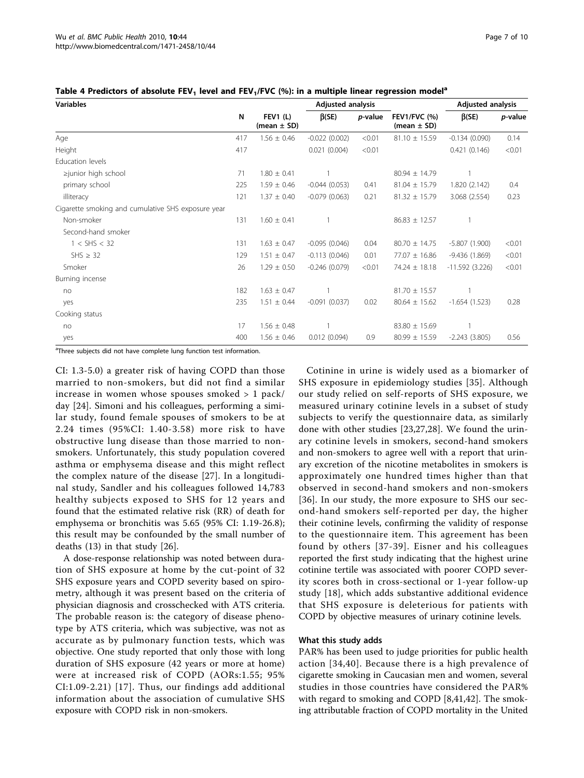<span id="page-6-0"></span>

|  | Table 4 Predictors of absolute FEV <sub>1</sub> level and FEV <sub>1</sub> /FVC (%): in a multiple linear regression model <sup>a</sup> |  |
|--|-----------------------------------------------------------------------------------------------------------------------------------------|--|
|--|-----------------------------------------------------------------------------------------------------------------------------------------|--|

| <b>Variables</b>                                   |     |                                    | <b>Adjusted analysis</b> |         |                                        | <b>Adjusted analysis</b> |                 |
|----------------------------------------------------|-----|------------------------------------|--------------------------|---------|----------------------------------------|--------------------------|-----------------|
|                                                    | N   | <b>FEV1 (L)</b><br>(mean $\pm$ SD) | $\beta$ (SE)             | p-value | <b>FEV1/FVC (%)</b><br>(mean $\pm$ SD) | $\beta$ (SE)             | <i>p</i> -value |
| Age                                                | 417 | $1.56 \pm 0.46$                    | $-0.022(0.002)$          | < 0.01  | $81.10 \pm 15.59$                      | $-0.134(0.090)$          | 0.14            |
| Height                                             | 417 |                                    | 0.021(0.004)             | < 0.01  |                                        | 0.421(0.146)             | < 0.01          |
| Education levels                                   |     |                                    |                          |         |                                        |                          |                 |
| ≥junior high school                                | 71  | $1.80 \pm 0.41$                    |                          |         | $80.94 \pm 14.79$                      |                          |                 |
| primary school                                     | 225 | $1.59 \pm 0.46$                    | $-0.044(0.053)$          | 0.41    | $81.04 \pm 15.79$                      | 1.820 (2.142)            | 0.4             |
| illiteracy                                         | 121 | $1.37 \pm 0.40$                    | $-0.079(0.063)$          | 0.21    | $81.32 \pm 15.79$                      | 3.068 (2.554)            | 0.23            |
| Cigarette smoking and cumulative SHS exposure year |     |                                    |                          |         |                                        |                          |                 |
| Non-smoker                                         | 131 | $1.60 \pm 0.41$                    |                          |         | $86.83 \pm 12.57$                      |                          |                 |
| Second-hand smoker                                 |     |                                    |                          |         |                                        |                          |                 |
| 1 < SHS < 32                                       | 131 | $1.63 \pm 0.47$                    | $-0.095(0.046)$          | 0.04    | $80.70 \pm 14.75$                      | $-5.807(1.900)$          | < 0.01          |
| $SHS \geq 32$                                      | 129 | $1.51 \pm 0.47$                    | $-0.113(0.046)$          | 0.01    | $77.07 \pm 16.86$                      | $-9.436(1.869)$          | < 0.01          |
| Smoker                                             | 26  | $1.29 \pm 0.50$                    | $-0.246(0.079)$          | < 0.01  | 74.24 ± 18.18                          | $-11.592(3.226)$         | < 0.01          |
| Burning incense                                    |     |                                    |                          |         |                                        |                          |                 |
| no                                                 | 182 | $1.63 \pm 0.47$                    |                          |         | $81.70 \pm 15.57$                      |                          |                 |
| yes                                                | 235 | $1.51 \pm 0.44$                    | $-0.091(0.037)$          | 0.02    | $80.64 \pm 15.62$                      | $-1.654(1.523)$          | 0.28            |
| Cooking status                                     |     |                                    |                          |         |                                        |                          |                 |
| no                                                 | 17  | $1.56 \pm 0.48$                    |                          |         | $83.80 \pm 15.69$                      |                          |                 |
| yes                                                | 400 | $1.56 \pm 0.46$                    | 0.012(0.094)             | 0.9     | $80.99 \pm 15.59$                      | $-2.243(3.805)$          | 0.56            |

<sup>a</sup>Three subjects did not have complete lung function test information.

CI: 1.3-5.0) a greater risk of having COPD than those married to non-smokers, but did not find a similar increase in women whose spouses smoked > 1 pack/ day [[24\]](#page-8-0). Simoni and his colleagues, performing a similar study, found female spouses of smokers to be at 2.24 times (95%CI: 1.40-3.58) more risk to have obstructive lung disease than those married to nonsmokers. Unfortunately, this study population covered asthma or emphysema disease and this might reflect the complex nature of the disease [[27](#page-8-0)]. In a longitudinal study, Sandler and his colleagues followed 14,783 healthy subjects exposed to SHS for 12 years and found that the estimated relative risk (RR) of death for emphysema or bronchitis was 5.65 (95% CI: 1.19-26.8); this result may be confounded by the small number of deaths (13) in that study [[26\]](#page-8-0).

A dose-response relationship was noted between duration of SHS exposure at home by the cut-point of 32 SHS exposure years and COPD severity based on spirometry, although it was present based on the criteria of physician diagnosis and crosschecked with ATS criteria. The probable reason is: the category of disease phenotype by ATS criteria, which was subjective, was not as accurate as by pulmonary function tests, which was objective. One study reported that only those with long duration of SHS exposure (42 years or more at home) were at increased risk of COPD (AORs:1.55; 95% CI:1.09-2.21) [[17](#page-8-0)]. Thus, our findings add additional information about the association of cumulative SHS exposure with COPD risk in non-smokers.

Cotinine in urine is widely used as a biomarker of SHS exposure in epidemiology studies [[35](#page-9-0)]. Although our study relied on self-reports of SHS exposure, we measured urinary cotinine levels in a subset of study subjects to verify the questionnaire data, as similarly done with other studies [[23,27,28](#page-8-0)]. We found the urinary cotinine levels in smokers, second-hand smokers and non-smokers to agree well with a report that urinary excretion of the nicotine metabolites in smokers is approximately one hundred times higher than that observed in second-hand smokers and non-smokers [[36](#page-9-0)]. In our study, the more exposure to SHS our second-hand smokers self-reported per day, the higher their cotinine levels, confirming the validity of response to the questionnaire item. This agreement has been found by others [[37-39\]](#page-9-0). Eisner and his colleagues reported the first study indicating that the highest urine cotinine tertile was associated with poorer COPD severity scores both in cross-sectional or 1-year follow-up study [\[18](#page-8-0)], which adds substantive additional evidence that SHS exposure is deleterious for patients with COPD by objective measures of urinary cotinine levels.

#### What this study adds

PAR% has been used to judge priorities for public health action [[34,40](#page-9-0)]. Because there is a high prevalence of cigarette smoking in Caucasian men and women, several studies in those countries have considered the PAR% with regard to smoking and COPD [[8,](#page-8-0)[41,42](#page-9-0)]. The smoking attributable fraction of COPD mortality in the United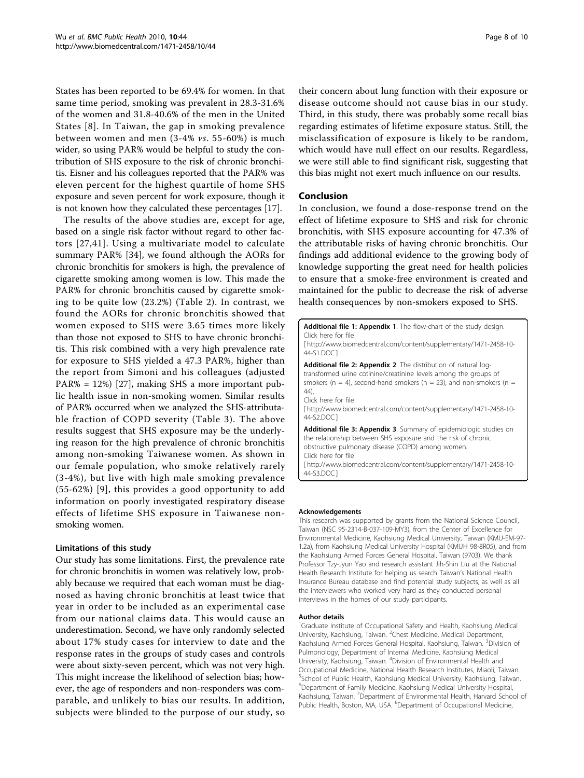<span id="page-7-0"></span>States has been reported to be 69.4% for women. In that same time period, smoking was prevalent in 28.3-31.6% of the women and 31.8-40.6% of the men in the United States [[8](#page-8-0)]. In Taiwan, the gap in smoking prevalence between women and men (3-4% vs. 55-60%) is much wider, so using PAR% would be helpful to study the contribution of SHS exposure to the risk of chronic bronchitis. Eisner and his colleagues reported that the PAR% was eleven percent for the highest quartile of home SHS exposure and seven percent for work exposure, though it is not known how they calculated these percentages [[17\]](#page-8-0).

The results of the above studies are, except for age, based on a single risk factor without regard to other factors [[27,](#page-8-0)[41\]](#page-9-0). Using a multivariate model to calculate summary PAR% [\[34](#page-9-0)], we found although the AORs for chronic bronchitis for smokers is high, the prevalence of cigarette smoking among women is low. This made the PAR% for chronic bronchitis caused by cigarette smoking to be quite low (23.2%) (Table [2\)](#page-5-0). In contrast, we found the AORs for chronic bronchitis showed that women exposed to SHS were 3.65 times more likely than those not exposed to SHS to have chronic bronchitis. This risk combined with a very high prevalence rate for exposure to SHS yielded a 47.3 PAR%, higher than the report from Simoni and his colleagues (adjusted PAR% = 12%) [[27\]](#page-8-0), making SHS a more important public health issue in non-smoking women. Similar results of PAR% occurred when we analyzed the SHS-attributable fraction of COPD severity (Table [3](#page-5-0)). The above results suggest that SHS exposure may be the underlying reason for the high prevalence of chronic bronchitis among non-smoking Taiwanese women. As shown in our female population, who smoke relatively rarely (3-4%), but live with high male smoking prevalence (55-62%) [[9](#page-8-0)], this provides a good opportunity to add information on poorly investigated respiratory disease effects of lifetime SHS exposure in Taiwanese nonsmoking women.

#### Limitations of this study

Our study has some limitations. First, the prevalence rate for chronic bronchitis in women was relatively low, probably because we required that each woman must be diagnosed as having chronic bronchitis at least twice that year in order to be included as an experimental case from our national claims data. This would cause an underestimation. Second, we have only randomly selected about 17% study cases for interview to date and the response rates in the groups of study cases and controls were about sixty-seven percent, which was not very high. This might increase the likelihood of selection bias; however, the age of responders and non-responders was comparable, and unlikely to bias our results. In addition, subjects were blinded to the purpose of our study, so their concern about lung function with their exposure or disease outcome should not cause bias in our study. Third, in this study, there was probably some recall bias regarding estimates of lifetime exposure status. Still, the misclassification of exposure is likely to be random, which would have null effect on our results. Regardless, we were still able to find significant risk, suggesting that this bias might not exert much influence on our results.

## Conclusion

In conclusion, we found a dose-response trend on the effect of lifetime exposure to SHS and risk for chronic bronchitis, with SHS exposure accounting for 47.3% of the attributable risks of having chronic bronchitis. Our findings add additional evidence to the growing body of knowledge supporting the great need for health policies to ensure that a smoke-free environment is created and maintained for the public to decrease the risk of adverse health consequences by non-smokers exposed to SHS.



#### Acknowledgements

This research was supported by grants from the National Science Council, Taiwan (NSC 95-2314-B-037-109-MY3), from the Center of Excellence for Environmental Medicine, Kaohsiung Medical University, Taiwan (KMU-EM-97- 1.2a), from Kaohsiung Medical University Hospital (KMUH 98-8R05), and from the Kaohsiung Armed Forces General Hospital, Taiwan (9703). We thank Professor Tzy-Jyun Yao and research assistant Jih-Shin Liu at the National Health Research Institute for helping us search Taiwan's National Health Insurance Bureau database and find potential study subjects, as well as all the interviewers who worked very hard as they conducted personal interviews in the homes of our study participants.

#### Author details

<sup>1</sup>Graduate Institute of Occupational Safety and Health, Kaohsiung Medical University, Kaohsiung, Taiwan. <sup>2</sup>Chest Medicine, Medical Department, Kaohsiung Armed Forces General Hospital, Kaohsiung, Taiwan. <sup>3</sup>Division of Pulmonology, Department of Internal Medicine, Kaohsiung Medical University, Kaohsiung, Taiwan. <sup>4</sup>Division of Environmental Health and Occupational Medicine, National Health Research Institutes, Miaoli, Taiwan. 5 School of Public Health, Kaohsiung Medical University, Kaohsiung, Taiwan. 6 Department of Family Medicine, Kaohsiung Medical University Hospital, Kaohsiung, Taiwan. <sup>7</sup> Department of Environmental Health, Harvard School of Public Health, Boston, MA, USA. <sup>8</sup>Department of Occupational Medicine,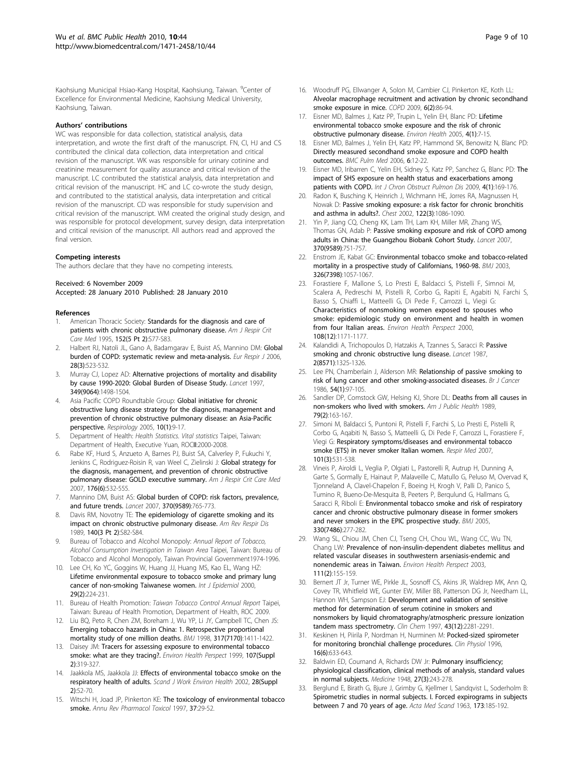<span id="page-8-0"></span>Kaohsiung Municipal Hsiao-Kang Hospital, Kaohsiung, Taiwan. <sup>9</sup>Center of Excellence for Environmental Medicine, Kaohsiung Medical University, Kaohsiung, Taiwan.

#### Authors' contributions

WC was responsible for data collection, statistical analysis, data interpretation, and wrote the first draft of the manuscript. FN, CI, HJ and CS contributed the clinical data collection, data interpretation and critical revision of the manuscript. WK was responsible for urinary cotinine and creatinine measurement for quality assurance and critical revision of the manuscript. LC contributed the statistical analysis, data interpretation and critical revision of the manuscript. HC and LC co-wrote the study design, and contributed to the statistical analysis, data interpretation and critical revision of the manuscript. CD was responsible for study supervision and critical revision of the manuscript. WM created the original study design, and was responsible for protocol development, survey design, data interpretation and critical revision of the manuscript. All authors read and approved the final version.

#### Competing interests

The authors declare that they have no competing interests.

#### Received: 6 November 2009

Accepted: 28 January 2010 Published: 28 January 2010

#### References

- 1. American Thoracic Society: [Standards for the diagnosis and care of](http://www.ncbi.nlm.nih.gov/pubmed/7582322?dopt=Abstract) [patients with chronic obstructive pulmonary disease.](http://www.ncbi.nlm.nih.gov/pubmed/7582322?dopt=Abstract) Am J Respir Crit Care Med 1995, 152(5 Pt 2):S77-S83.
- 2. Halbert RJ, Natoli JL, Gano A, Badamgarav E, Buist AS, Mannino DM: [Global](http://www.ncbi.nlm.nih.gov/pubmed/16611654?dopt=Abstract) [burden of COPD: systematic review and meta-analysis.](http://www.ncbi.nlm.nih.gov/pubmed/16611654?dopt=Abstract) Eur Respir J 2006, 28(3):523-532.
- 3. Murray CJ, Lopez AD: [Alternative projections of mortality and disability](http://www.ncbi.nlm.nih.gov/pubmed/9167458?dopt=Abstract) [by cause 1990-2020: Global Burden of Disease Study.](http://www.ncbi.nlm.nih.gov/pubmed/9167458?dopt=Abstract) Lancet 1997, 349(9064):1498-1504.
- Asia Pacific COPD Roundtable Group: [Global initiative for chronic](http://www.ncbi.nlm.nih.gov/pubmed/15691232?dopt=Abstract) [obstructive lung disease strategy for the diagnosis, management and](http://www.ncbi.nlm.nih.gov/pubmed/15691232?dopt=Abstract) [prevention of chronic obstructive pulmonary disease: an Asia-Pacific](http://www.ncbi.nlm.nih.gov/pubmed/15691232?dopt=Abstract) [perspective.](http://www.ncbi.nlm.nih.gov/pubmed/15691232?dopt=Abstract) Respirology 2005, 10(1):9-17.
- 5. Department of Health: Health Statistics. Vital statistics Taipei, Taiwan: Department of Health, Executive Yuan, ROCII:2000-2008.
- Rabe KF, Hurd S, Anzueto A, Barnes PJ, Buist SA, Calverley P, Fukuchi Y, Jenkins C, Rodriguez-Roisin R, van Weel C, Zielinski J: [Global strategy for](http://www.ncbi.nlm.nih.gov/pubmed/17507545?dopt=Abstract) [the diagnosis, management, and prevention of chronic obstructive](http://www.ncbi.nlm.nih.gov/pubmed/17507545?dopt=Abstract) [pulmonary disease: GOLD executive summary.](http://www.ncbi.nlm.nih.gov/pubmed/17507545?dopt=Abstract) Am J Respir Crit Care Med 2007, 176(6):532-555.
- 7. Mannino DM, Buist AS: [Global burden of COPD: risk factors, prevalence,](http://www.ncbi.nlm.nih.gov/pubmed/17765526?dopt=Abstract) [and future trends.](http://www.ncbi.nlm.nih.gov/pubmed/17765526?dopt=Abstract) Lancet 2007, 370(9589):765-773.
- 8. Davis RM, Novotny TE: [The epidemiology of cigarette smoking and its](http://www.ncbi.nlm.nih.gov/pubmed/2782765?dopt=Abstract) [impact on chronic obstructive pulmonary disease.](http://www.ncbi.nlm.nih.gov/pubmed/2782765?dopt=Abstract) Am Rev Respir Dis 1989, 140(3 Pt 2):S82-S84.
- 9. Bureau of Tobacco and Alcohol Monopoly: Annual Report of Tobacco, Alcohol Consumption Investigation in Taiwan Area Taipei, Taiwan: Bureau of Tobacco and Alcohol Monopoly, Taiwan Provincial Government1974-1996.
- 10. Lee CH, Ko YC, Goggins W, Huang JJ, Huang MS, Kao EL, Wang HZ: [Lifetime environmental exposure to tobacco smoke and primary lung](http://www.ncbi.nlm.nih.gov/pubmed/10817117?dopt=Abstract) [cancer of non-smoking Taiwanese women.](http://www.ncbi.nlm.nih.gov/pubmed/10817117?dopt=Abstract) Int J Epidemiol 2000, 29(2):224-231.
- 11. Bureau of Health Promotion: Taiwan Tobacco Control Annual Report Taipei, Taiwan: Bureau of Health Promotion, Department of Health, ROC 2009.
- 12. Liu BQ, Peto R, Chen ZM, Boreham J, Wu YP, Li JY, Campbell TC, Chen JS: [Emerging tobacco hazards in China: 1. Retrospective proportional](http://www.ncbi.nlm.nih.gov/pubmed/9822393?dopt=Abstract) [mortality study of one million deaths.](http://www.ncbi.nlm.nih.gov/pubmed/9822393?dopt=Abstract) BMJ 1998, 317(7170):1411-1422.
- 13. Daisey JM: [Tracers for assessing exposure to environmental tobacco](http://www.ncbi.nlm.nih.gov/pubmed/10350517?dopt=Abstract) [smoke: what are they tracing?.](http://www.ncbi.nlm.nih.gov/pubmed/10350517?dopt=Abstract) Environ Health Perspect 1999, 107(Suppl 2):319-327.
- 14. Jaakkola MS, Jaakkola JJ: [Effects of environmental tobacco smoke on the](http://www.ncbi.nlm.nih.gov/pubmed/12058803?dopt=Abstract) [respiratory health of adults.](http://www.ncbi.nlm.nih.gov/pubmed/12058803?dopt=Abstract) Scand J Work Environ Health 2002, 28(Suppl 2):52-70.
- 15. Witschi H, Joad JP, Pinkerton KE: [The toxicology of environmental tobacco](http://www.ncbi.nlm.nih.gov/pubmed/9131245?dopt=Abstract) [smoke.](http://www.ncbi.nlm.nih.gov/pubmed/9131245?dopt=Abstract) Annu Rev Pharmacol Toxicol 1997, 37:29-52.
- 16. Woodruff PG, Ellwanger A, Solon M, Cambier CJ, Pinkerton KE, Koth LL: [Alveolar macrophage recruitment and activation by chronic secondhand](http://www.ncbi.nlm.nih.gov/pubmed/19378221?dopt=Abstract) [smoke exposure in mice.](http://www.ncbi.nlm.nih.gov/pubmed/19378221?dopt=Abstract) COPD 2009, 6(2):86-94.
- 17. Eisner MD, Balmes J, Katz PP, Trupin L, Yelin EH, Blanc PD: [Lifetime](http://www.ncbi.nlm.nih.gov/pubmed/15890079?dopt=Abstract) [environmental tobacco smoke exposure and the risk of chronic](http://www.ncbi.nlm.nih.gov/pubmed/15890079?dopt=Abstract) [obstructive pulmonary disease.](http://www.ncbi.nlm.nih.gov/pubmed/15890079?dopt=Abstract) Environ Health 2005, 4(1):7-15.
- 18. Eisner MD, Balmes J, Yelin EH, Katz PP, Hammond SK, Benowitz N, Blanc PD: [Directly measured secondhand smoke exposure and COPD health](http://www.ncbi.nlm.nih.gov/pubmed/16756671?dopt=Abstract) [outcomes.](http://www.ncbi.nlm.nih.gov/pubmed/16756671?dopt=Abstract) BMC Pulm Med 2006, 6:12-22.
- 19. Eisner MD, Iribarren C, Yelin EH, Sidney S, Katz PP, Sanchez G, Blanc PD: [The](http://www.ncbi.nlm.nih.gov/pubmed/19516915?dopt=Abstract) [impact of SHS exposure on health status and exacerbations among](http://www.ncbi.nlm.nih.gov/pubmed/19516915?dopt=Abstract) [patients with COPD.](http://www.ncbi.nlm.nih.gov/pubmed/19516915?dopt=Abstract) Int J Chron Obstruct Pulmon Dis 2009, 4(1):169-176.
- 20. Radon K, Busching K, Heinrich J, Wichmann HE, Jorres RA, Magnussen H, Nowak D: [Passive smoking exposure: a risk factor for chronic bronchitis](http://www.ncbi.nlm.nih.gov/pubmed/12226059?dopt=Abstract) [and asthma in adults?.](http://www.ncbi.nlm.nih.gov/pubmed/12226059?dopt=Abstract) Chest 2002, 122(3):1086-1090.
- 21. Yin P, Jiang CQ, Cheng KK, Lam TH, Lam KH, Miller MR, Zhang WS, Thomas GN, Adab P: [Passive smoking exposure and risk of COPD among](http://www.ncbi.nlm.nih.gov/pubmed/17765524?dopt=Abstract) [adults in China: the Guangzhou Biobank Cohort Study.](http://www.ncbi.nlm.nih.gov/pubmed/17765524?dopt=Abstract) Lancet 2007, 370(9589):751-757.
- 22. Enstrom JE, Kabat GC: [Environmental tobacco smoke and tobacco-related](http://www.ncbi.nlm.nih.gov/pubmed/12750205?dopt=Abstract) [mortality in a prospective study of Californians, 1960-98.](http://www.ncbi.nlm.nih.gov/pubmed/12750205?dopt=Abstract) BMJ 2003, 326(7398):1057-1067.
- 23. Forastiere F, Mallone S, Lo Presti E, Baldacci S, Pistelli F, Simnoi M, Scalera A, Pedreschi M, Pistelli R, Corbo G, Rapiti E, Agabiti N, Farchi S, Basso S, Chiaffi L, Matteelli G, Di Pede F, Carrozzi L, Viegi G; Characteristics of nonsmoking [women exposed to spouses who](http://www.ncbi.nlm.nih.gov/pubmed/11133398?dopt=Abstract) [smoke: epidemiologic study on environment and health in women](http://www.ncbi.nlm.nih.gov/pubmed/11133398?dopt=Abstract) [from four Italian areas.](http://www.ncbi.nlm.nih.gov/pubmed/11133398?dopt=Abstract) Environ Health Perspect 2000, 108(12):1171-1177.
- 24. Kalandidi A, Trichopoulos D, Hatzakis A, Tzannes S, Saracci R: [Passive](http://www.ncbi.nlm.nih.gov/pubmed/2890917?dopt=Abstract) [smoking and chronic obstructive lung disease.](http://www.ncbi.nlm.nih.gov/pubmed/2890917?dopt=Abstract) Lancet 1987, 2(8571):1325-1326.
- 25. Lee PN, Chamberlain J, Alderson MR: [Relationship of passive smoking to](http://www.ncbi.nlm.nih.gov/pubmed/3730259?dopt=Abstract) [risk of lung cancer and other smoking-associated diseases.](http://www.ncbi.nlm.nih.gov/pubmed/3730259?dopt=Abstract) Br J Cancer 1986, 54(1):97-105.
- 26. Sandler DP, Comstock GW, Helsing KJ, Shore DL: [Deaths from all causes in](http://www.ncbi.nlm.nih.gov/pubmed/2913834?dopt=Abstract) [non-smokers who lived with smokers.](http://www.ncbi.nlm.nih.gov/pubmed/2913834?dopt=Abstract) Am J Public Health 1989, 79(2):163-167.
- 27. Simoni M, Baldacci S, Puntoni R, Pistelli F, Farchi S, Lo Presti E, Pistelli R, Corbo G, Aqabiti N, Basso S, Matteelli G, Di Pede F, Carrozzi L, Forastiere F, Viegi G: [Respiratory symptoms/diseases and environmental tobacco](http://www.ncbi.nlm.nih.gov/pubmed/16893638?dopt=Abstract) [smoke \(ETS\) in never smoker Italian women.](http://www.ncbi.nlm.nih.gov/pubmed/16893638?dopt=Abstract) Respir Med 2007, 101(3):531-538.
- 28. Vineis P, Airoldi L, Veglia P, Olgiati L, Pastorelli R, Autrup H, Dunning A, Garte S, Gormally E, Hainaut P, Malaveille C, Matullo G, Peluso M, Overvad K, Tjonneland A, Clavel-Chapelon F, Boeing H, Krogh V, Palli D, Panico S, Tumino R, Bueno-De-Mesquita B, Peeters P, Berqulund G, Hallmans G, Saracci R, Riboli E: [Environmental tobacco smoke and risk of respiratory](http://www.ncbi.nlm.nih.gov/pubmed/15681570?dopt=Abstract) [cancer and chronic obstructive pulmonary disease in former smokers](http://www.ncbi.nlm.nih.gov/pubmed/15681570?dopt=Abstract) [and never smokers in the EPIC prospective study.](http://www.ncbi.nlm.nih.gov/pubmed/15681570?dopt=Abstract) BMJ 2005, 330(7486):277-282.
- 29. Wang SL, Chiou JM, Chen CJ, Tseng CH, Chou WL, Wang CC, Wu TN, Chang LW: [Prevalence of non-insulin-dependent diabetes mellitus and](http://www.ncbi.nlm.nih.gov/pubmed/12573898?dopt=Abstract) [related vascular diseases in southwestern arseniasis-endemic and](http://www.ncbi.nlm.nih.gov/pubmed/12573898?dopt=Abstract) [nonendemic areas in Taiwan.](http://www.ncbi.nlm.nih.gov/pubmed/12573898?dopt=Abstract) Environ Health Perspect 2003, 111(2):155-159.
- 30. Bernert JT Jr, Turner WE, Pirkle JL, Sosnoff CS, Akins JR, Waldrep MK, Ann Q, Covey TR, Whitfield WE, Gunter EW, Miller BB, Patterson DG Jr, Needham LL, Hannon WH, Sampson EJ: [Development and validation of sensitive](http://www.ncbi.nlm.nih.gov/pubmed/9439445?dopt=Abstract) [method for determination of serum cotinine in smokers and](http://www.ncbi.nlm.nih.gov/pubmed/9439445?dopt=Abstract) [nonsmokers by liquid chromatography/atmospheric pressure ionization](http://www.ncbi.nlm.nih.gov/pubmed/9439445?dopt=Abstract) [tandem mass spectrometry.](http://www.ncbi.nlm.nih.gov/pubmed/9439445?dopt=Abstract) Clin Chem 1997, 43(12):2281-2291.
- 31. Keskinen H, Piirila P, Nordman H, Nurminen M: [Pocked-sized spirometer](http://www.ncbi.nlm.nih.gov/pubmed/8937802?dopt=Abstract) [for monitoring bronchial challenge procedures.](http://www.ncbi.nlm.nih.gov/pubmed/8937802?dopt=Abstract) Clin Physiol 1996, 16(6):633-643.
- 32. Baldwin ED, Cournand A, Richards DW Jr: [Pulmonary insufficiency;](http://www.ncbi.nlm.nih.gov/pubmed/18885031?dopt=Abstract) [physiological classification, clinical methods of analysis, standard values](http://www.ncbi.nlm.nih.gov/pubmed/18885031?dopt=Abstract) [in normal subjects.](http://www.ncbi.nlm.nih.gov/pubmed/18885031?dopt=Abstract) Medicine 1948, 27(3):243-278.
- 33. Berglund E, Birath G, Bjure J, Grimby G, Kjellmer I, Sandqvist L, Soderholm B: [Spirometric studies in normal subjects. I. Forced expirograms in subjects](http://www.ncbi.nlm.nih.gov/pubmed/13970718?dopt=Abstract) [between 7 and 70 years of age.](http://www.ncbi.nlm.nih.gov/pubmed/13970718?dopt=Abstract) Acta Med Scand 1963, 173:185-192.